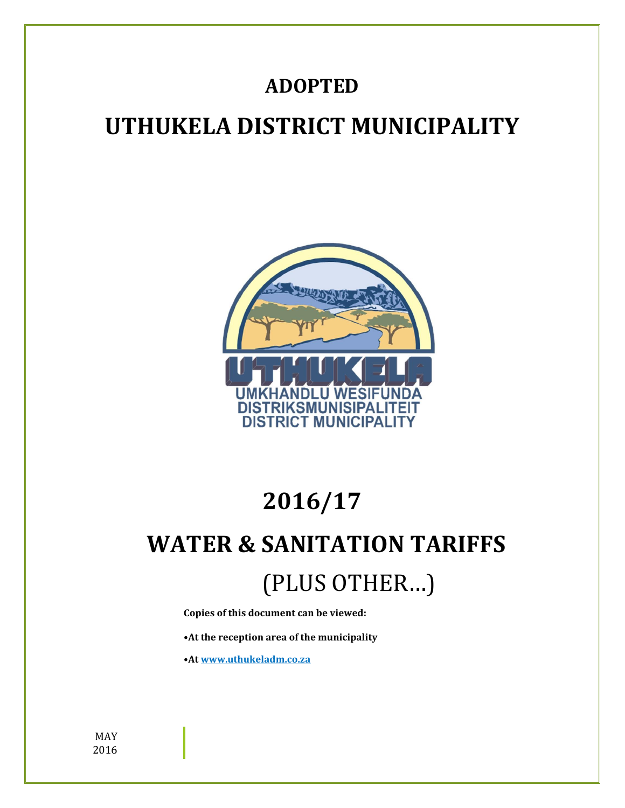### **ADOPTED**

## **UTHUKELA DISTRICT MUNICIPALITY**



# **2016/17**

# **WATER & SANITATION TARIFFS** (PLUS OTHER…)

**Copies of this document can be viewed:**

**•At the reception area of the municipality**

**•At www.uthukeladm.co.za**

MAY 2016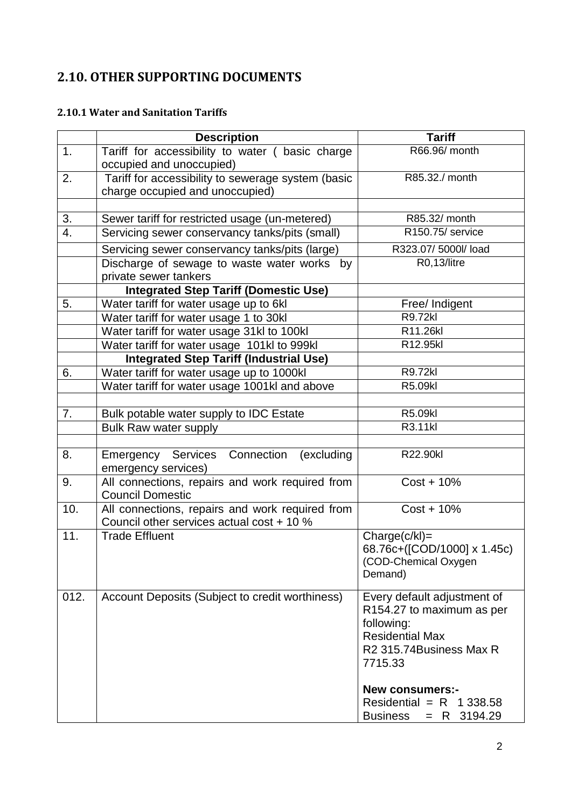### **2.10. OTHER SUPPORTING DOCUMENTS**

#### **2.10.1 Water and Sanitation Tariffs**

|      | <b>Description</b>                                                                           | <b>Tariff</b>                                                                                                                                                                                  |
|------|----------------------------------------------------------------------------------------------|------------------------------------------------------------------------------------------------------------------------------------------------------------------------------------------------|
| 1.   | Tariff for accessibility to water ( basic charge<br>occupied and unoccupied)                 | R66.96/ month                                                                                                                                                                                  |
| 2.   | Tariff for accessibility to sewerage system (basic<br>charge occupied and unoccupied)        | R85.32./ month                                                                                                                                                                                 |
|      |                                                                                              |                                                                                                                                                                                                |
| 3.   | Sewer tariff for restricted usage (un-metered)                                               | R85.32/ month                                                                                                                                                                                  |
| 4.   | Servicing sewer conservancy tanks/pits (small)                                               | R150.75/ service                                                                                                                                                                               |
|      | Servicing sewer conservancy tanks/pits (large)                                               | R323.07/5000l/load                                                                                                                                                                             |
|      | Discharge of sewage to waste water works by<br>private sewer tankers                         | R0,13/litre                                                                                                                                                                                    |
|      | <b>Integrated Step Tariff (Domestic Use)</b>                                                 |                                                                                                                                                                                                |
| 5.   | Water tariff for water usage up to 6kl                                                       | Free/ Indigent                                                                                                                                                                                 |
|      | Water tariff for water usage 1 to 30kl                                                       | <b>R9.72kl</b>                                                                                                                                                                                 |
|      | Water tariff for water usage 31kl to 100kl                                                   | R11.26kl                                                                                                                                                                                       |
|      | Water tariff for water usage 101kl to 999kl                                                  | R12.95kl                                                                                                                                                                                       |
|      | <b>Integrated Step Tariff (Industrial Use)</b>                                               |                                                                                                                                                                                                |
| 6.   | Water tariff for water usage up to 1000kl                                                    | R9.72kl                                                                                                                                                                                        |
|      | Water tariff for water usage 1001kl and above                                                | R5.09kl                                                                                                                                                                                        |
|      |                                                                                              |                                                                                                                                                                                                |
| 7.   | Bulk potable water supply to IDC Estate                                                      | R5.09kl                                                                                                                                                                                        |
|      | Bulk Raw water supply                                                                        | R3.11kl                                                                                                                                                                                        |
|      |                                                                                              |                                                                                                                                                                                                |
| 8.   | Emergency Services<br>Connection<br>(excluding<br>emergency services)                        | R22.90kl                                                                                                                                                                                       |
| 9.   | All connections, repairs and work required from<br><b>Council Domestic</b>                   | $Cost + 10\%$                                                                                                                                                                                  |
| 10.  | All connections, repairs and work required from<br>Council other services actual cost + 10 % | $Cost + 10\%$                                                                                                                                                                                  |
| 11.  | <b>Trade Effluent</b>                                                                        | $Change(c/kI) =$<br>68.76c+([COD/1000] x 1.45c)<br>(COD-Chemical Oxygen<br>Demand)                                                                                                             |
| 012. | Account Deposits (Subject to credit worthiness)                                              | Every default adjustment of<br>R154.27 to maximum as per<br>following:<br><b>Residential Max</b><br>R2 315.74Business Max R<br>7715.33<br><b>New consumers:-</b><br>Residential = $R$ 1 338.58 |
|      |                                                                                              | <b>Business</b><br>$= R$ 3194.29                                                                                                                                                               |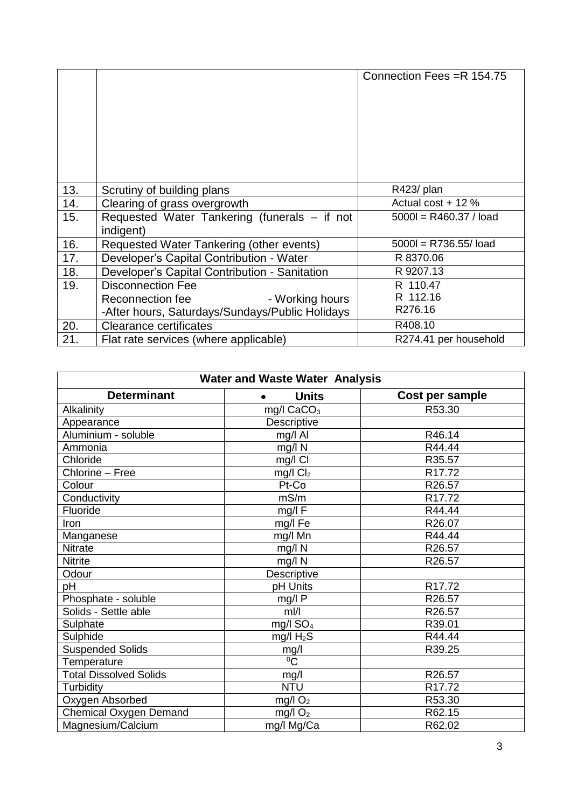|     |                                                           | Connection Fees = R 154.75 |
|-----|-----------------------------------------------------------|----------------------------|
| 13. | Scrutiny of building plans                                | R423/ plan                 |
| 14. | Clearing of grass overgrowth                              | Actual cost $+12%$         |
| 15. | Requested Water Tankering (funerals – if not<br>indigent) | $5000 = R460.37 / load$    |
| 16. | Requested Water Tankering (other events)                  | $5000 = R736.55/$ load     |
| 17. | Developer's Capital Contribution - Water                  | R 8370.06                  |
| 18. | Developer's Capital Contribution - Sanitation             | R 9207.13                  |
| 19. | <b>Disconnection Fee</b>                                  | R 110.47                   |
|     | - Working hours<br>Reconnection fee                       | R 112.16                   |
|     | -After hours, Saturdays/Sundays/Public Holidays           | R276.16                    |
| 20. | <b>Clearance certificates</b>                             | R408.10                    |
| 21. | Flat rate services (where applicable)                     | R274.41 per household      |

| <b>Water and Waste Water Analysis</b> |                       |                 |  |
|---------------------------------------|-----------------------|-----------------|--|
| <b>Determinant</b>                    | <b>Units</b>          | Cost per sample |  |
| Alkalinity                            | mg/l $CaCO3$          | R53.30          |  |
| Appearance                            | Descriptive           |                 |  |
| Aluminium - soluble                   | mg/l Al               | R46.14          |  |
| Ammonia                               | mg/l N                | R44.44          |  |
| Chloride                              | mg/l Cl               | R35.57          |  |
| Chlorine - Free                       | $mg/l$ $Cl2$          | R17.72          |  |
| Colour                                | Pt-Co                 | R26.57          |  |
| Conductivity                          | mS/m                  | R17.72          |  |
| Fluoride                              | mg/l F                | R44.44          |  |
| Iron                                  | mg/l Fe               | R26.07          |  |
| Manganese                             | mg/l Mn               | R44.44          |  |
| <b>Nitrate</b>                        | $mg/l$ N              | R26.57          |  |
| <b>Nitrite</b>                        | mg/l N                | R26.57          |  |
| Odour                                 | Descriptive           |                 |  |
| pH                                    | pH Units              | R17.72          |  |
| Phosphate - soluble                   | mg/lP                 | R26.57          |  |
| Solids - Settle able                  | $m$  /                | R26.57          |  |
| Sulphate                              | mg/l $SO4$            | R39.01          |  |
| Sulphide                              | mg/l $H_2S$           | R44.44          |  |
| <b>Suspended Solids</b>               | $mg/l$ <sup>0</sup> C | R39.25          |  |
| Temperature                           |                       |                 |  |
| <b>Total Dissolved Solids</b>         | mg/l                  | R26.57          |  |
| Turbidity                             | <b>NTU</b>            | R17.72          |  |
| Oxygen Absorbed                       | mg/l $O2$             | R53.30          |  |
| <b>Chemical Oxygen Demand</b>         | $mg/l$ O <sub>2</sub> | R62.15          |  |
| Magnesium/Calcium                     | mg/l Mg/Ca            | R62.02          |  |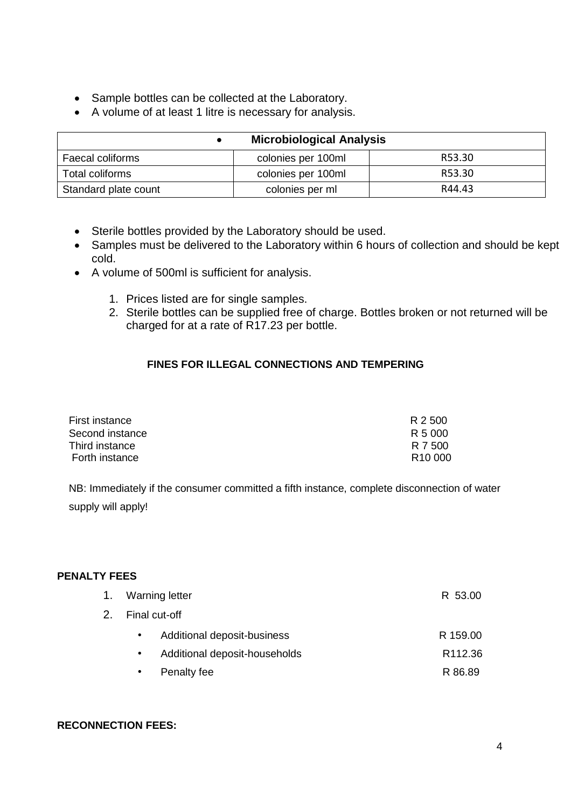- Sample bottles can be collected at the Laboratory.
- A volume of at least 1 litre is necessary for analysis.

|                      | <b>Microbiological Analysis</b> |        |
|----------------------|---------------------------------|--------|
| Faecal coliforms     | colonies per 100ml              | R53.30 |
| Total coliforms      | colonies per 100ml              | R53.30 |
| Standard plate count | colonies per ml                 | R44.43 |

- Sterile bottles provided by the Laboratory should be used.
- Samples must be delivered to the Laboratory within 6 hours of collection and should be kept cold.
- A volume of 500ml is sufficient for analysis.
	- 1. Prices listed are for single samples.
	- 2. Sterile bottles can be supplied free of charge. Bottles broken or not returned will be charged for at a rate of R17.23 per bottle.

#### **FINES FOR ILLEGAL CONNECTIONS AND TEMPERING**

| First instance  | R 2500              |
|-----------------|---------------------|
| Second instance | R 5 000             |
| Third instance  | R 7 500             |
| Forth instance  | R <sub>10</sub> 000 |

NB: Immediately if the consumer committed a fifth instance, complete disconnection of water supply will apply!

#### **PENALTY FEES**

|                  | 1. Warning letter             | R 53.00             |
|------------------|-------------------------------|---------------------|
| 2. Final cut-off |                               |                     |
| $\bullet$        | Additional deposit-business   | R 159.00            |
| $\bullet$        | Additional deposit-households | R <sub>112.36</sub> |
| $\bullet$        | Penalty fee                   | R 86.89             |

#### **RECONNECTION FEES:**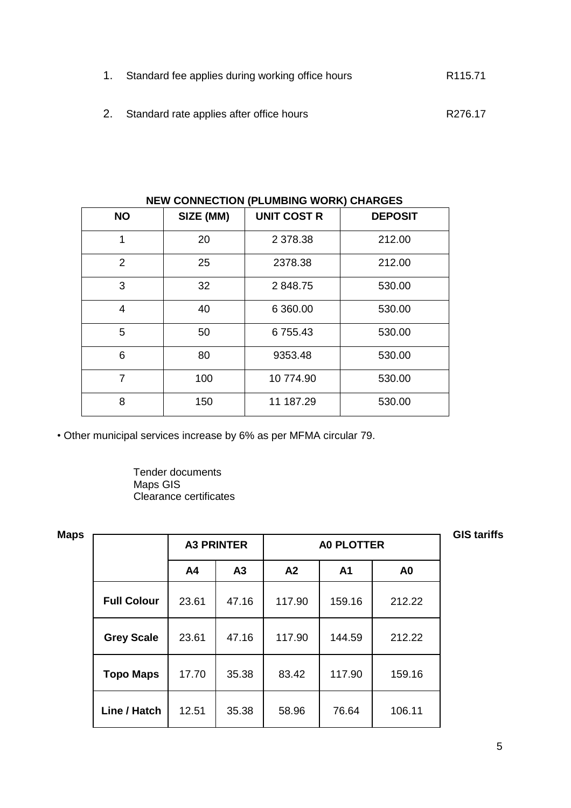- 1. Standard fee applies during working office hours **R115.71**
- 2. Standard rate applies after office hours **R276.17**

|           |           | <u>HEM OOMNED HOM HI EDMIDING MONNY ON ANOED</u> |                |
|-----------|-----------|--------------------------------------------------|----------------|
| <b>NO</b> | SIZE (MM) | <b>UNIT COST R</b>                               | <b>DEPOSIT</b> |
| 1         | 20        | 2 378.38                                         | 212.00         |
| 2         | 25        | 2378.38                                          | 212.00         |
| 3         | 32        | 2848.75                                          | 530.00         |
| 4         | 40        | 6 360.00                                         | 530.00         |
| 5         | 50        | 6755.43                                          | 530.00         |
| 6         | 80        | 9353.48                                          | 530.00         |
| 7         | 100       | 10 774.90                                        | 530.00         |
| 8         | 150       | 11 187.29                                        | 530.00         |

**NEW CONNECTION (PLUMBING WORK) CHARGES** 

• Other municipal services increase by 6% as per MFMA circular 79.

Tender documents Maps GIS Clearance certificates

|      |                    |       |                   |        |                   |                | <b>GIS tariffs</b> |
|------|--------------------|-------|-------------------|--------|-------------------|----------------|--------------------|
| Maps |                    |       | <b>A3 PRINTER</b> |        | <b>A0 PLOTTER</b> |                |                    |
|      |                    | A4    | A3                | A2     | A <sub>1</sub>    | A <sub>0</sub> |                    |
|      | <b>Full Colour</b> | 23.61 | 47.16             | 117.90 | 159.16            | 212.22         |                    |
|      | <b>Grey Scale</b>  | 23.61 | 47.16             | 117.90 | 144.59            | 212.22         |                    |
|      | <b>Topo Maps</b>   | 17.70 | 35.38             | 83.42  | 117.90            | 159.16         |                    |
|      | Line / Hatch       | 12.51 | 35.38             | 58.96  | 76.64             | 106.11         |                    |